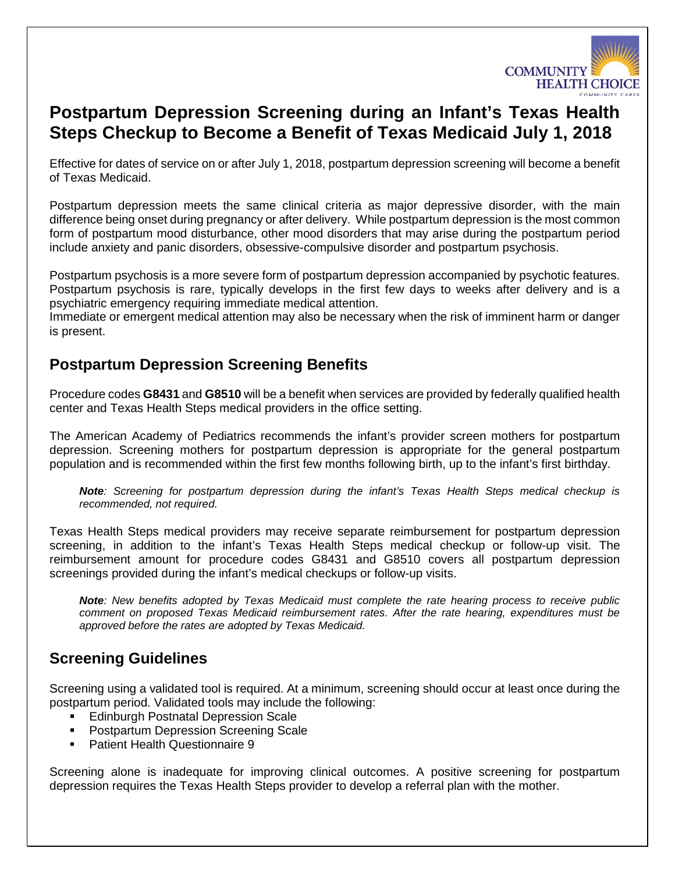

# **Postpartum Depression Screening during an Infant's Texas Health Steps Checkup to Become a Benefit of Texas Medicaid July 1, 2018**

Effective for dates of service on or after July 1, 2018, postpartum depression screening will become a benefit of Texas Medicaid.

Postpartum depression meets the same clinical criteria as major depressive disorder, with the main difference being onset during pregnancy or after delivery. While postpartum depression is the most common form of postpartum mood disturbance, other mood disorders that may arise during the postpartum period include anxiety and panic disorders, obsessive-compulsive disorder and postpartum psychosis.

Postpartum psychosis is a more severe form of postpartum depression accompanied by psychotic features. Postpartum psychosis is rare, typically develops in the first few days to weeks after delivery and is a psychiatric emergency requiring immediate medical attention.

Immediate or emergent medical attention may also be necessary when the risk of imminent harm or danger is present.

### **Postpartum Depression Screening Benefits**

Procedure codes **G8431** and **G8510** will be a benefit when services are provided by federally qualified health center and Texas Health Steps medical providers in the office setting.

The American Academy of Pediatrics recommends the infant's provider screen mothers for postpartum depression. Screening mothers for postpartum depression is appropriate for the general postpartum population and is recommended within the first few months following birth, up to the infant's first birthday.

*Note: Screening for postpartum depression during the infant's Texas Health Steps medical checkup is recommended, not required.* 

Texas Health Steps medical providers may receive separate reimbursement for postpartum depression screening, in addition to the infant's Texas Health Steps medical checkup or follow-up visit. The reimbursement amount for procedure codes G8431 and G8510 covers all postpartum depression screenings provided during the infant's medical checkups or follow-up visits.

*Note: New benefits adopted by Texas Medicaid must complete the rate hearing process to receive public comment on proposed Texas Medicaid reimbursement rates. After the rate hearing, expenditures must be approved before the rates are adopted by Texas Medicaid.* 

## **Screening Guidelines**

Screening using a validated tool is required. At a minimum, screening should occur at least once during the postpartum period. Validated tools may include the following:

- **Edinburgh Postnatal Depression Scale**
- **Postpartum Depression Screening Scale**
- **Patient Health Questionnaire 9**

Screening alone is inadequate for improving clinical outcomes. A positive screening for postpartum depression requires the Texas Health Steps provider to develop a referral plan with the mother.